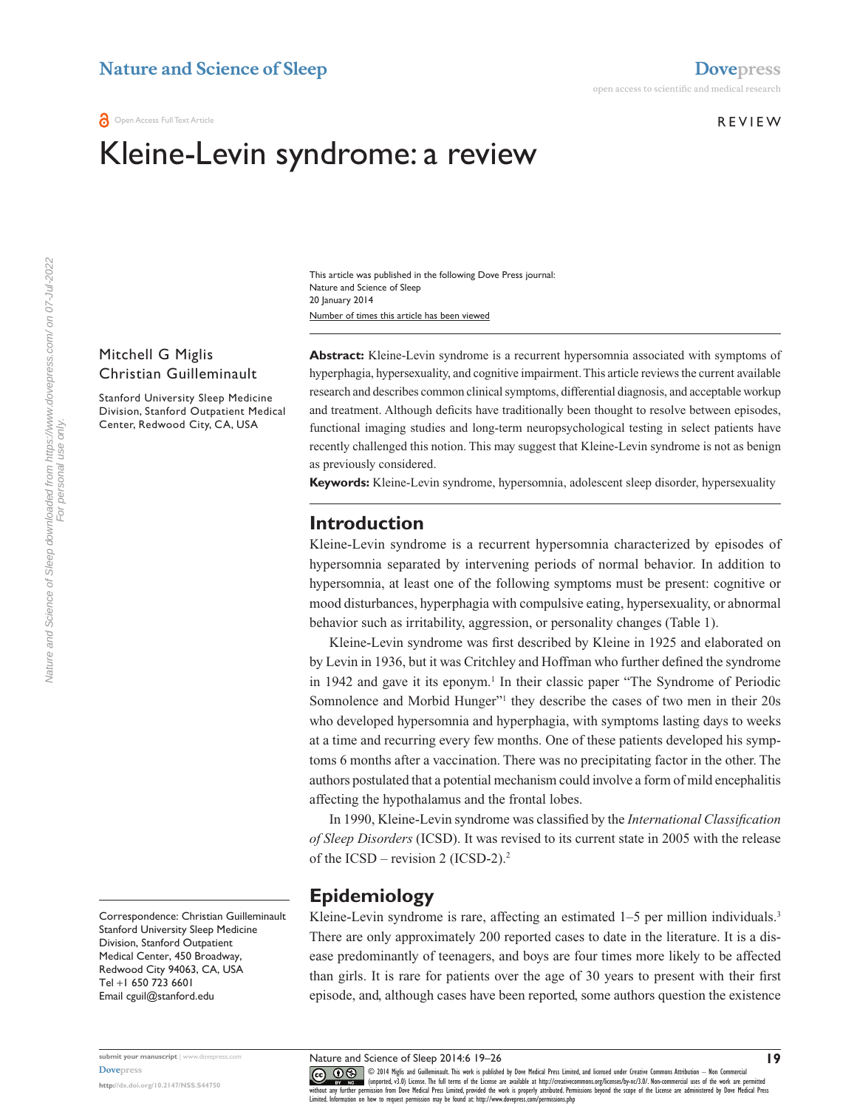**a** Open Access Full Text Article

#### Review

# Kleine-Levin syndrome: a review

Number of times this article has been viewed This article was published in the following Dove Press journal: Nature and Science of Sleep 20 January 2014

#### Mitchell G Miglis Christian Guilleminault

Stanford University Sleep Medicine Division, Stanford Outpatient Medical Center, Redwood City, CA, USA

**Abstract:** Kleine-Levin syndrome is a recurrent hypersomnia associated with symptoms of hyperphagia, hypersexuality, and cognitive impairment. This article reviews the current available research and describes common clinical symptoms, differential diagnosis, and acceptable workup and treatment. Although deficits have traditionally been thought to resolve between episodes, functional imaging studies and long-term neuropsychological testing in select patients have recently challenged this notion. This may suggest that Kleine-Levin syndrome is not as benign as previously considered.

**Keywords:** Kleine-Levin syndrome, hypersomnia, adolescent sleep disorder, hypersexuality

## **Introduction**

Kleine-Levin syndrome is a recurrent hypersomnia characterized by episodes of hypersomnia separated by intervening periods of normal behavior. In addition to hypersomnia, at least one of the following symptoms must be present: cognitive or mood disturbances, hyperphagia with compulsive eating, hypersexuality, or abnormal behavior such as irritability, aggression, or personality changes (Table 1).

Kleine-Levin syndrome was first described by Kleine in 1925 and elaborated on by Levin in 1936, but it was Critchley and Hoffman who further defined the syndrome in 1942 and gave it its eponym.<sup>1</sup> In their classic paper "The Syndrome of Periodic Somnolence and Morbid Hunger"<sup>1</sup> they describe the cases of two men in their 20s who developed hypersomnia and hyperphagia, with symptoms lasting days to weeks at a time and recurring every few months. One of these patients developed his symptoms 6 months after a vaccination. There was no precipitating factor in the other. The authors postulated that a potential mechanism could involve a form of mild encephalitis affecting the hypothalamus and the frontal lobes.

In 1990, Kleine-Levin syndrome was classified by the *International Classification of Sleep Disorders* (ICSD). It was revised to its current state in 2005 with the release of the ICSD – revision 2 (ICSD-2).2

### **Epidemiology**

Kleine-Levin syndrome is rare, affecting an estimated 1–5 per million individuals.<sup>3</sup> There are only approximately 200 reported cases to date in the literature. It is a disease predominantly of teenagers, and boys are four times more likely to be affected than girls. It is rare for patients over the age of 30 years to present with their first episode, and, although cases have been reported, some authors question the existence

Correspondence: Christian Guilleminault Stanford University Sleep Medicine Division, Stanford Outpatient Medical Center, 450 Broadway, Redwood City 94063, CA, USA Tel +1 650 723 6601 Email [cguil@stanford.edu](mailto:cguil@stanford.edu)

**submit your manuscript** | <www.dovepress.com>

**<http://dx.doi.org/10.2147/NSS.S44750>**

**[Dovepress](www.dovepress.com)**

Nature and Science of Sleep 2014:6 19–26

CO ODI4 Miglis and Guilleminault. This work is published by Dove Medical Press Limited, and licensed under Creative Commons Attribution - Non Commercial<br>[without any further perm](http://www.dovepress.com/permissions.php)ission from Dove Medical Press Limited, provi Limited. Information on how to request permission may be found at: http://www.dovepress.com/permissions.php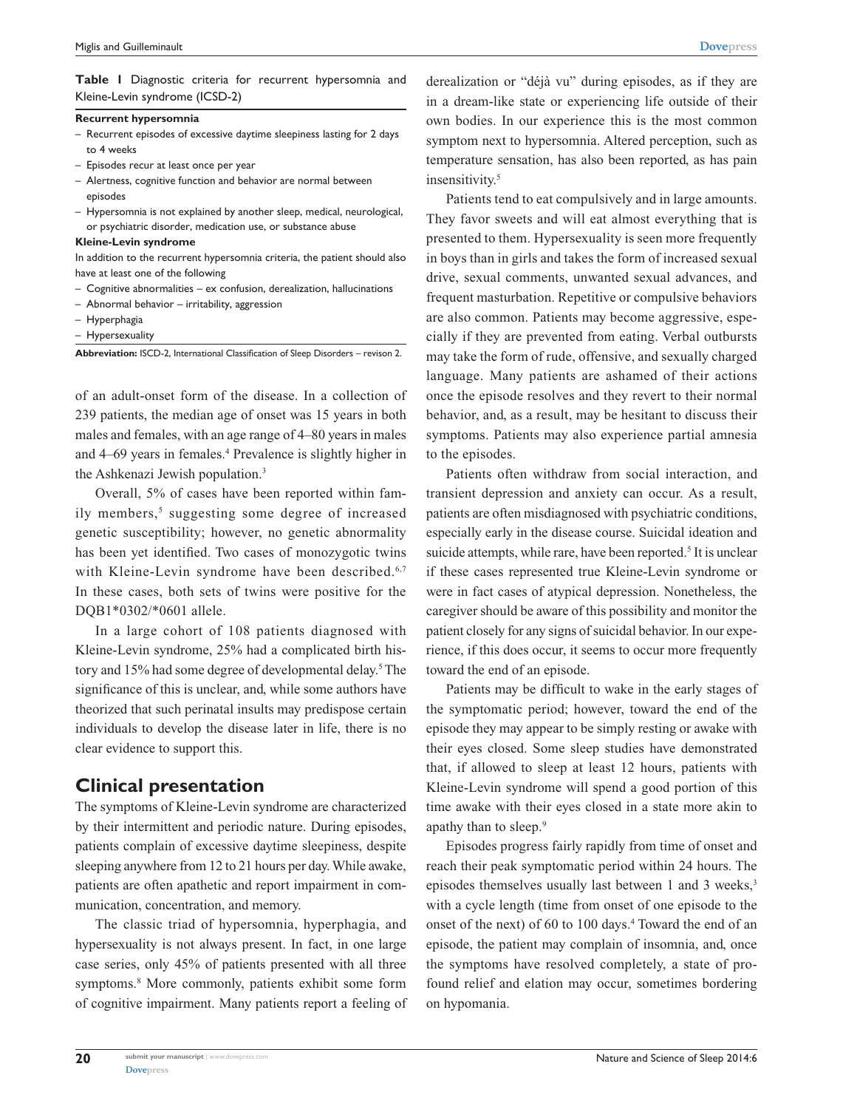**Table 1** Diagnostic criteria for recurrent hypersomnia and Kleine-Levin syndrome (ICSD-2)

#### **Recurrent hypersomnia**

- Recurrent episodes of excessive daytime sleepiness lasting for 2 days to 4 weeks
- Episodes recur at least once per year
- Alertness, cognitive function and behavior are normal between episodes
- Hypersomnia is not explained by another sleep, medical, neurological, or psychiatric disorder, medication use, or substance abuse

#### **Kleine-Levin syndrome**

In addition to the recurrent hypersomnia criteria, the patient should also have at least one of the following

- Cognitive abnormalities ex confusion, derealization, hallucinations
- Abnormal behavior irritability, aggression
- Hyperphagia
- Hypersexuality

**Abbreviation:** ISCD-2, International Classification of Sleep Disorders – revison 2.

of an adult-onset form of the disease. In a collection of 239 patients, the median age of onset was 15 years in both males and females, with an age range of 4–80 years in males and 4–69 years in females.<sup>4</sup> Prevalence is slightly higher in the Ashkenazi Jewish population.<sup>3</sup>

Overall, 5% of cases have been reported within family members,<sup>5</sup> suggesting some degree of increased genetic susceptibility; however, no genetic abnormality has been yet identified. Two cases of monozygotic twins with Kleine-Levin syndrome have been described.<sup>6,7</sup> In these cases, both sets of twins were positive for the DQB1\*0302/\*0601 allele.

In a large cohort of 108 patients diagnosed with Kleine-Levin syndrome, 25% had a complicated birth history and 15% had some degree of developmental delay.<sup>5</sup> The significance of this is unclear, and, while some authors have theorized that such perinatal insults may predispose certain individuals to develop the disease later in life, there is no clear evidence to support this.

### **Clinical presentation**

The symptoms of Kleine-Levin syndrome are characterized by their intermittent and periodic nature. During episodes, patients complain of excessive daytime sleepiness, despite sleeping anywhere from 12 to 21 hours per day. While awake, patients are often apathetic and report impairment in communication, concentration, and memory.

The classic triad of hypersomnia, hyperphagia, and hypersexuality is not always present. In fact, in one large case series, only 45% of patients presented with all three symptoms.<sup>8</sup> More commonly, patients exhibit some form of cognitive impairment. Many patients report a feeling of

derealization or "déjà vu" during episodes, as if they are in a dream-like state or experiencing life outside of their own bodies. In our experience this is the most common symptom next to hypersomnia. Altered perception, such as temperature sensation, has also been reported, as has pain insensitivity.<sup>5</sup>

Patients tend to eat compulsively and in large amounts. They favor sweets and will eat almost everything that is presented to them. Hypersexuality is seen more frequently in boys than in girls and takes the form of increased sexual drive, sexual comments, unwanted sexual advances, and frequent masturbation. Repetitive or compulsive behaviors are also common. Patients may become aggressive, especially if they are prevented from eating. Verbal outbursts may take the form of rude, offensive, and sexually charged language. Many patients are ashamed of their actions once the episode resolves and they revert to their normal behavior, and, as a result, may be hesitant to discuss their symptoms. Patients may also experience partial amnesia to the episodes.

Patients often withdraw from social interaction, and transient depression and anxiety can occur. As a result, patients are often misdiagnosed with psychiatric conditions, especially early in the disease course. Suicidal ideation and suicide attempts, while rare, have been reported.<sup>5</sup> It is unclear if these cases represented true Kleine-Levin syndrome or were in fact cases of atypical depression. Nonetheless, the caregiver should be aware of this possibility and monitor the patient closely for any signs of suicidal behavior. In our experience, if this does occur, it seems to occur more frequently toward the end of an episode.

Patients may be difficult to wake in the early stages of the symptomatic period; however, toward the end of the episode they may appear to be simply resting or awake with their eyes closed. Some sleep studies have demonstrated that, if allowed to sleep at least 12 hours, patients with Kleine-Levin syndrome will spend a good portion of this time awake with their eyes closed in a state more akin to apathy than to sleep.9

Episodes progress fairly rapidly from time of onset and reach their peak symptomatic period within 24 hours. The episodes themselves usually last between 1 and 3 weeks,<sup>3</sup> with a cycle length (time from onset of one episode to the onset of the next) of 60 to 100 days.<sup>4</sup> Toward the end of an episode, the patient may complain of insomnia, and, once the symptoms have resolved completely, a state of profound relief and elation may occur, sometimes bordering on hypomania.

**20**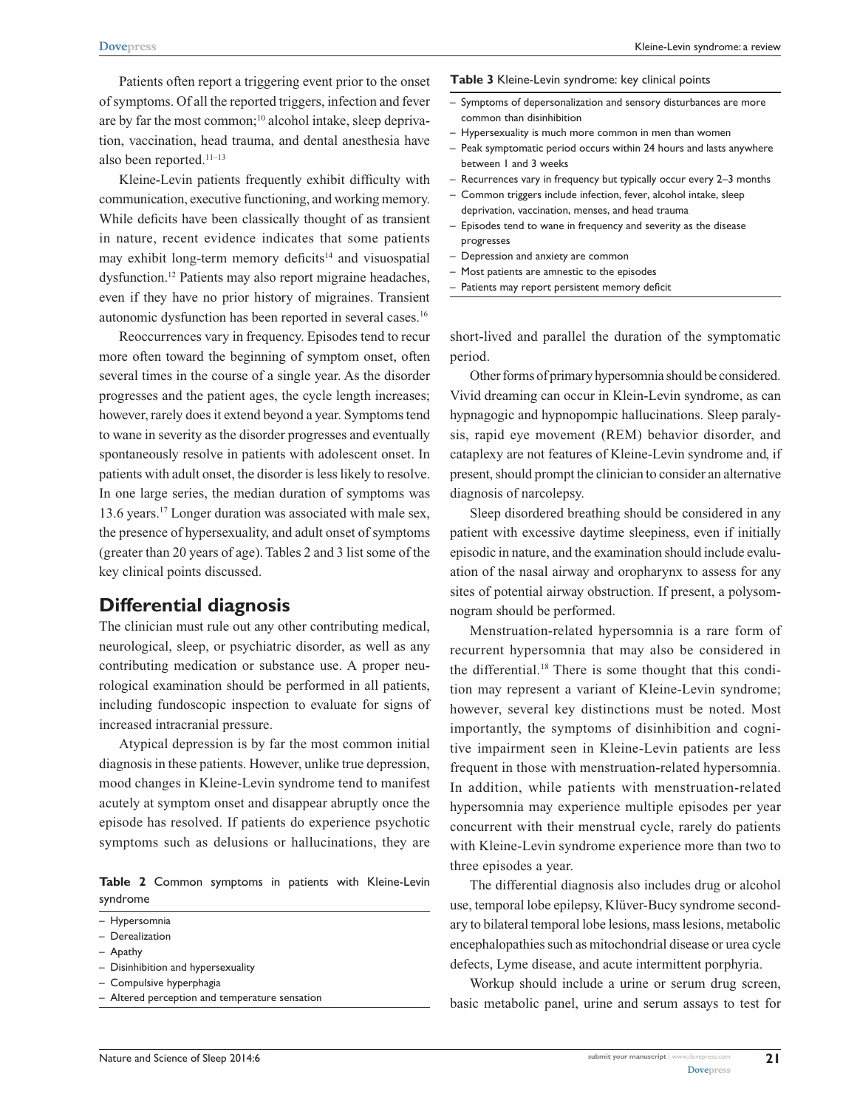Patients often report a triggering event prior to the onset of symptoms. Of all the reported triggers, infection and fever are by far the most common;<sup>10</sup> alcohol intake, sleep deprivation, vaccination, head trauma, and dental anesthesia have also been reported.11–13

Kleine-Levin patients frequently exhibit difficulty with communication, executive functioning, and working memory. While deficits have been classically thought of as transient in nature, recent evidence indicates that some patients may exhibit long-term memory deficits<sup>14</sup> and visuospatial dysfunction.12 Patients may also report migraine headaches, even if they have no prior history of migraines. Transient autonomic dysfunction has been reported in several cases.16

Reoccurrences vary in frequency. Episodes tend to recur more often toward the beginning of symptom onset, often several times in the course of a single year. As the disorder progresses and the patient ages, the cycle length increases; however, rarely does it extend beyond a year. Symptoms tend to wane in severity as the disorder progresses and eventually spontaneously resolve in patients with adolescent onset. In patients with adult onset, the disorder is less likely to resolve. In one large series, the median duration of symptoms was 13.6 years.17 Longer duration was associated with male sex, the presence of hypersexuality, and adult onset of symptoms (greater than 20 years of age). Tables 2 and 3 list some of the key clinical points discussed.

### **Differential diagnosis**

The clinician must rule out any other contributing medical, neurological, sleep, or psychiatric disorder, as well as any contributing medication or substance use. A proper neurological examination should be performed in all patients, including fundoscopic inspection to evaluate for signs of increased intracranial pressure.

Atypical depression is by far the most common initial diagnosis in these patients. However, unlike true depression, mood changes in Kleine-Levin syndrome tend to manifest acutely at symptom onset and disappear abruptly once the episode has resolved. If patients do experience psychotic symptoms such as delusions or hallucinations, they are

**Table 2** Common symptoms in patients with Kleine-Levin syndrome

- Apathy
- Disinhibition and hypersexuality
- Compulsive hyperphagia
- Altered perception and temperature sensation

#### **Table 3** Kleine-Levin syndrome: key clinical points

- Symptoms of depersonalization and sensory disturbances are more common than disinhibition
- Hypersexuality is much more common in men than women
- Peak symptomatic period occurs within 24 hours and lasts anywhere between 1 and 3 weeks
- Recurrences vary in frequency but typically occur every 2–3 months
- Common triggers include infection, fever, alcohol intake, sleep deprivation, vaccination, menses, and head trauma
- Episodes tend to wane in frequency and severity as the disease progresses
- Depression and anxiety are common
- Most patients are amnestic to the episodes
- Patients may report persistent memory deficit

short-lived and parallel the duration of the symptomatic period.

Other forms of primary hypersomnia should be considered. Vivid dreaming can occur in Klein-Levin syndrome, as can hypnagogic and hypnopompic hallucinations. Sleep paralysis, rapid eye movement (REM) behavior disorder, and cataplexy are not features of Kleine-Levin syndrome and, if present, should prompt the clinician to consider an alternative diagnosis of narcolepsy.

Sleep disordered breathing should be considered in any patient with excessive daytime sleepiness, even if initially episodic in nature, and the examination should include evaluation of the nasal airway and oropharynx to assess for any sites of potential airway obstruction. If present, a polysomnogram should be performed.

Menstruation-related hypersomnia is a rare form of recurrent hypersomnia that may also be considered in the differential.<sup>18</sup> There is some thought that this condition may represent a variant of Kleine-Levin syndrome; however, several key distinctions must be noted. Most importantly, the symptoms of disinhibition and cognitive impairment seen in Kleine-Levin patients are less frequent in those with menstruation-related hypersomnia. In addition, while patients with menstruation-related hypersomnia may experience multiple episodes per year concurrent with their menstrual cycle, rarely do patients with Kleine-Levin syndrome experience more than two to three episodes a year.

The differential diagnosis also includes drug or alcohol use, temporal lobe epilepsy, Klüver-Bucy syndrome secondary to bilateral temporal lobe lesions, mass lesions, metabolic encephalopathies such as mitochondrial disease or urea cycle defects, Lyme disease, and acute intermittent porphyria.

Workup should include a urine or serum drug screen, basic metabolic panel, urine and serum assays to test for

<sup>–</sup> Hypersomnia

<sup>–</sup> Derealization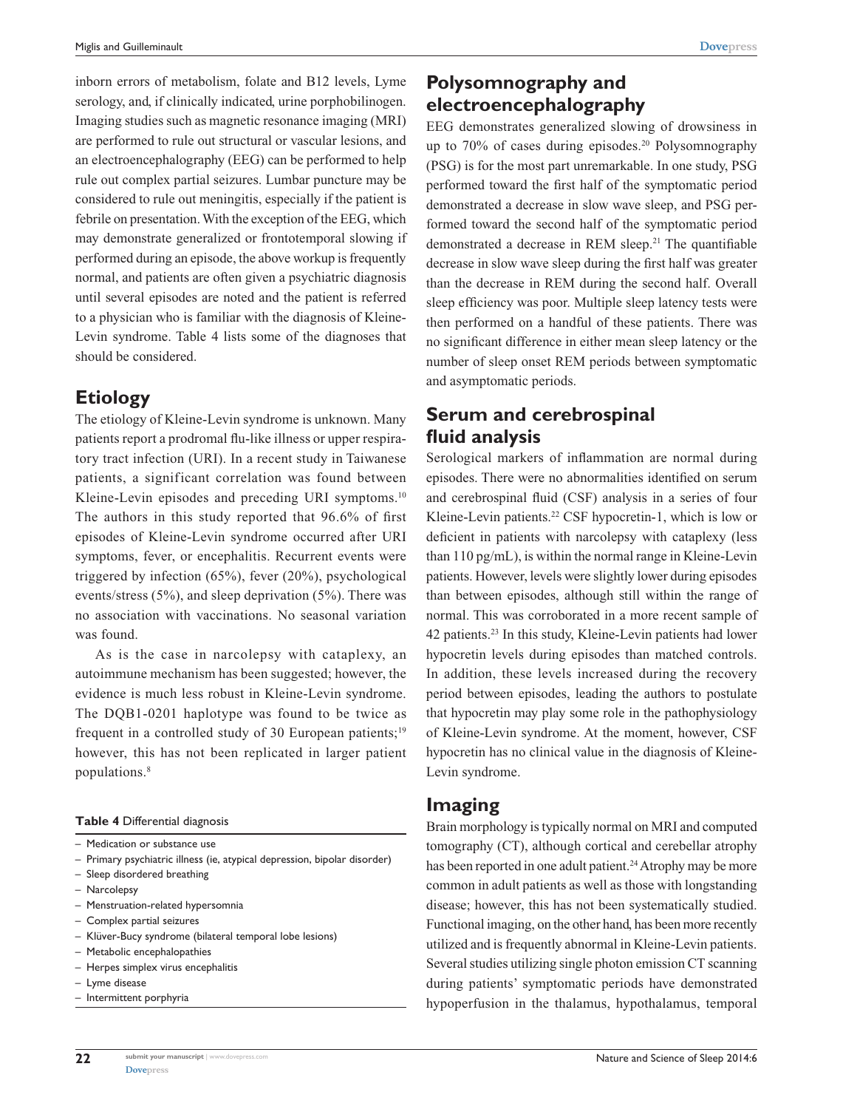inborn errors of metabolism, folate and B12 levels, Lyme serology, and, if clinically indicated, urine porphobilinogen. Imaging studies such as magnetic resonance imaging (MRI) are performed to rule out structural or vascular lesions, and an electroencephalography (EEG) can be performed to help rule out complex partial seizures. Lumbar puncture may be considered to rule out meningitis, especially if the patient is febrile on presentation. With the exception of the EEG, which may demonstrate generalized or frontotemporal slowing if performed during an episode, the above workup is frequently normal, and patients are often given a psychiatric diagnosis until several episodes are noted and the patient is referred to a physician who is familiar with the diagnosis of Kleine-Levin syndrome. Table 4 lists some of the diagnoses that should be considered.

# **Etiology**

The etiology of Kleine-Levin syndrome is unknown. Many patients report a prodromal flu-like illness or upper respiratory tract infection (URI). In a recent study in Taiwanese patients, a significant correlation was found between Kleine-Levin episodes and preceding URI symptoms.<sup>10</sup> The authors in this study reported that 96.6% of first episodes of Kleine-Levin syndrome occurred after URI symptoms, fever, or encephalitis. Recurrent events were triggered by infection (65%), fever (20%), psychological events/stress (5%), and sleep deprivation (5%). There was no association with vaccinations. No seasonal variation was found.

As is the case in narcolepsy with cataplexy, an autoimmune mechanism has been suggested; however, the evidence is much less robust in Kleine-Levin syndrome. The DQB1-0201 haplotype was found to be twice as frequent in a controlled study of 30 European patients;<sup>19</sup> however, this has not been replicated in larger patient populations.8

#### **Table 4** Differential diagnosis

- Medication or substance use
- Primary psychiatric illness (ie, atypical depression, bipolar disorder)
- Sleep disordered breathing
- Narcolepsy
- Menstruation-related hypersomnia
- Complex partial seizures
- Klüver-Bucy syndrome (bilateral temporal lobe lesions)
- Metabolic encephalopathies
- Herpes simplex virus encephalitis
- Lyme disease

**22**

– Intermittent porphyria

# **Polysomnography and electroencephalography**

EEG demonstrates generalized slowing of drowsiness in up to 70% of cases during episodes.20 Polysomnography (PSG) is for the most part unremarkable. In one study, PSG performed toward the first half of the symptomatic period demonstrated a decrease in slow wave sleep, and PSG performed toward the second half of the symptomatic period demonstrated a decrease in REM sleep.<sup>21</sup> The quantifiable decrease in slow wave sleep during the first half was greater than the decrease in REM during the second half. Overall sleep efficiency was poor. Multiple sleep latency tests were then performed on a handful of these patients. There was no significant difference in either mean sleep latency or the number of sleep onset REM periods between symptomatic and asymptomatic periods.

# **Serum and cerebrospinal fluid analysis**

Serological markers of inflammation are normal during episodes. There were no abnormalities identified on serum and cerebrospinal fluid (CSF) analysis in a series of four Kleine-Levin patients.22 CSF hypocretin-1, which is low or deficient in patients with narcolepsy with cataplexy (less than 110 pg/mL), is within the normal range in Kleine-Levin patients. However, levels were slightly lower during episodes than between episodes, although still within the range of normal. This was corroborated in a more recent sample of 42 patients.23 In this study, Kleine-Levin patients had lower hypocretin levels during episodes than matched controls. In addition, these levels increased during the recovery period between episodes, leading the authors to postulate that hypocretin may play some role in the pathophysiology of Kleine-Levin syndrome. At the moment, however, CSF hypocretin has no clinical value in the diagnosis of Kleine-Levin syndrome.

### **Imaging**

Brain morphology is typically normal on MRI and computed tomography (CT), although cortical and cerebellar atrophy has been reported in one adult patient.<sup>24</sup> Atrophy may be more common in adult patients as well as those with longstanding disease; however, this has not been systematically studied. Functional imaging, on the other hand, has been more recently utilized and is frequently abnormal in Kleine-Levin patients. Several studies utilizing single photon emission CT scanning during patients' symptomatic periods have demonstrated hypoperfusion in the thalamus, hypothalamus, temporal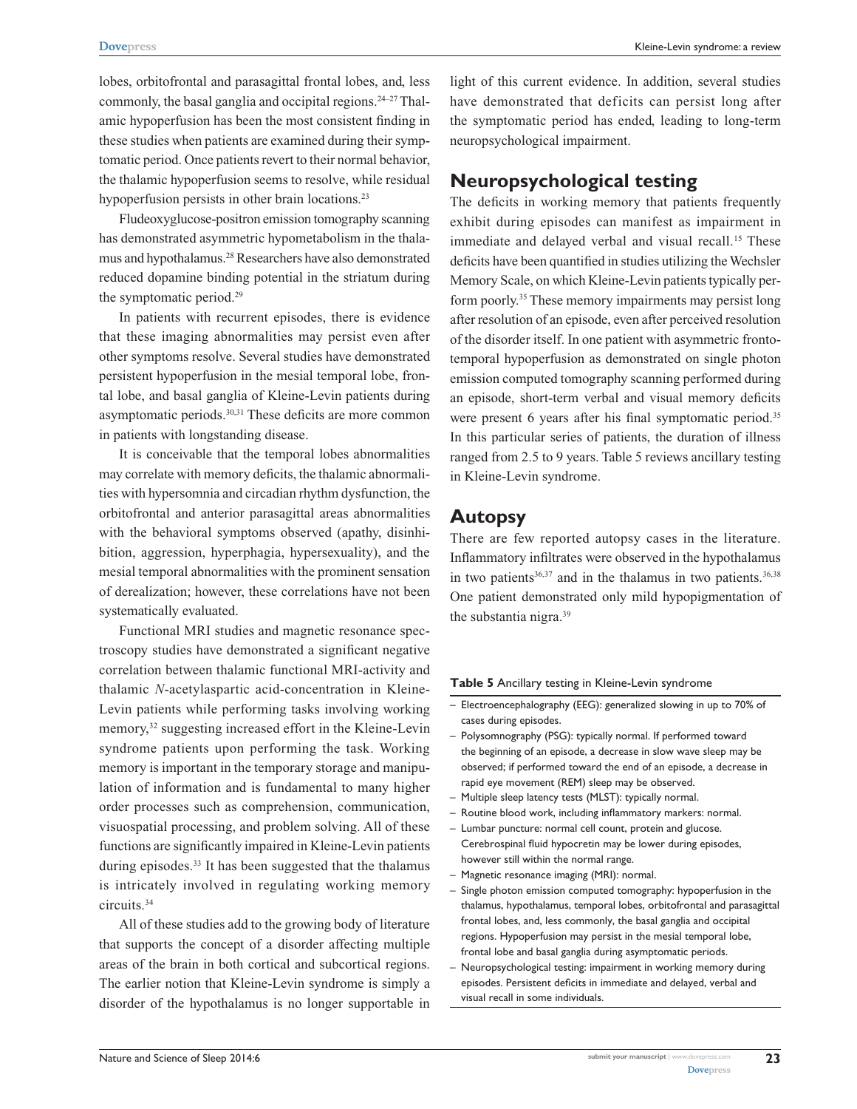lobes, orbitofrontal and parasagittal frontal lobes, and, less commonly, the basal ganglia and occipital regions.<sup>24–27</sup> Thalamic hypoperfusion has been the most consistent finding in these studies when patients are examined during their symptomatic period. Once patients revert to their normal behavior, the thalamic hypoperfusion seems to resolve, while residual hypoperfusion persists in other brain locations.<sup>23</sup>

Fludeoxyglucose-positron emission tomography scanning has demonstrated asymmetric hypometabolism in the thalamus and hypothalamus.28 Researchers have also demonstrated reduced dopamine binding potential in the striatum during the symptomatic period.29

In patients with recurrent episodes, there is evidence that these imaging abnormalities may persist even after other symptoms resolve. Several studies have demonstrated persistent hypoperfusion in the mesial temporal lobe, frontal lobe, and basal ganglia of Kleine-Levin patients during asymptomatic periods.30,31 These deficits are more common in patients with longstanding disease.

It is conceivable that the temporal lobes abnormalities may correlate with memory deficits, the thalamic abnormalities with hypersomnia and circadian rhythm dysfunction, the orbitofrontal and anterior parasagittal areas abnormalities with the behavioral symptoms observed (apathy, disinhibition, aggression, hyperphagia, hypersexuality), and the mesial temporal abnormalities with the prominent sensation of derealization; however, these correlations have not been systematically evaluated.

Functional MRI studies and magnetic resonance spectroscopy studies have demonstrated a significant negative correlation between thalamic functional MRI-activity and thalamic *N*-acetylaspartic acid-concentration in Kleine-Levin patients while performing tasks involving working memory,<sup>32</sup> suggesting increased effort in the Kleine-Levin syndrome patients upon performing the task. Working memory is important in the temporary storage and manipulation of information and is fundamental to many higher order processes such as comprehension, communication, visuospatial processing, and problem solving. All of these functions are significantly impaired in Kleine-Levin patients during episodes.<sup>33</sup> It has been suggested that the thalamus is intricately involved in regulating working memory circuits.34

All of these studies add to the growing body of literature that supports the concept of a disorder affecting multiple areas of the brain in both cortical and subcortical regions. The earlier notion that Kleine-Levin syndrome is simply a disorder of the hypothalamus is no longer supportable in light of this current evidence. In addition, several studies have demonstrated that deficits can persist long after the symptomatic period has ended, leading to long-term neuropsychological impairment.

### **Neuropsychological testing**

The deficits in working memory that patients frequently exhibit during episodes can manifest as impairment in immediate and delayed verbal and visual recall.<sup>15</sup> These deficits have been quantified in studies utilizing the Wechsler Memory Scale, on which Kleine-Levin patients typically perform poorly.<sup>35</sup> These memory impairments may persist long after resolution of an episode, even after perceived resolution of the disorder itself. In one patient with asymmetric frontotemporal hypoperfusion as demonstrated on single photon emission computed tomography scanning performed during an episode, short-term verbal and visual memory deficits were present 6 years after his final symptomatic period.<sup>35</sup> In this particular series of patients, the duration of illness ranged from 2.5 to 9 years. Table 5 reviews ancillary testing in Kleine-Levin syndrome.

### **Autopsy**

There are few reported autopsy cases in the literature. Inflammatory infiltrates were observed in the hypothalamus in two patients $36,37$  and in the thalamus in two patients.  $36,38$ One patient demonstrated only mild hypopigmentation of the substantia nigra.39

#### **Table 5** Ancillary testing in Kleine-Levin syndrome

- Electroencephalography (EEG): generalized slowing in up to 70% of cases during episodes.
- Polysomnography (PSG): typically normal. If performed toward the beginning of an episode, a decrease in slow wave sleep may be observed; if performed toward the end of an episode, a decrease in rapid eye movement (REM) sleep may be observed.
- Multiple sleep latency tests (MLST): typically normal.
- Routine blood work, including inflammatory markers: normal.
- Lumbar puncture: normal cell count, protein and glucose. Cerebrospinal fluid hypocretin may be lower during episodes, however still within the normal range.
- Magnetic resonance imaging (MRI): normal.
- Single photon emission computed tomography: hypoperfusion in the thalamus, hypothalamus, temporal lobes, orbitofrontal and parasagittal frontal lobes, and, less commonly, the basal ganglia and occipital regions. Hypoperfusion may persist in the mesial temporal lobe, frontal lobe and basal ganglia during asymptomatic periods.
- Neuropsychological testing: impairment in working memory during episodes. Persistent deficits in immediate and delayed, verbal and visual recall in some individuals.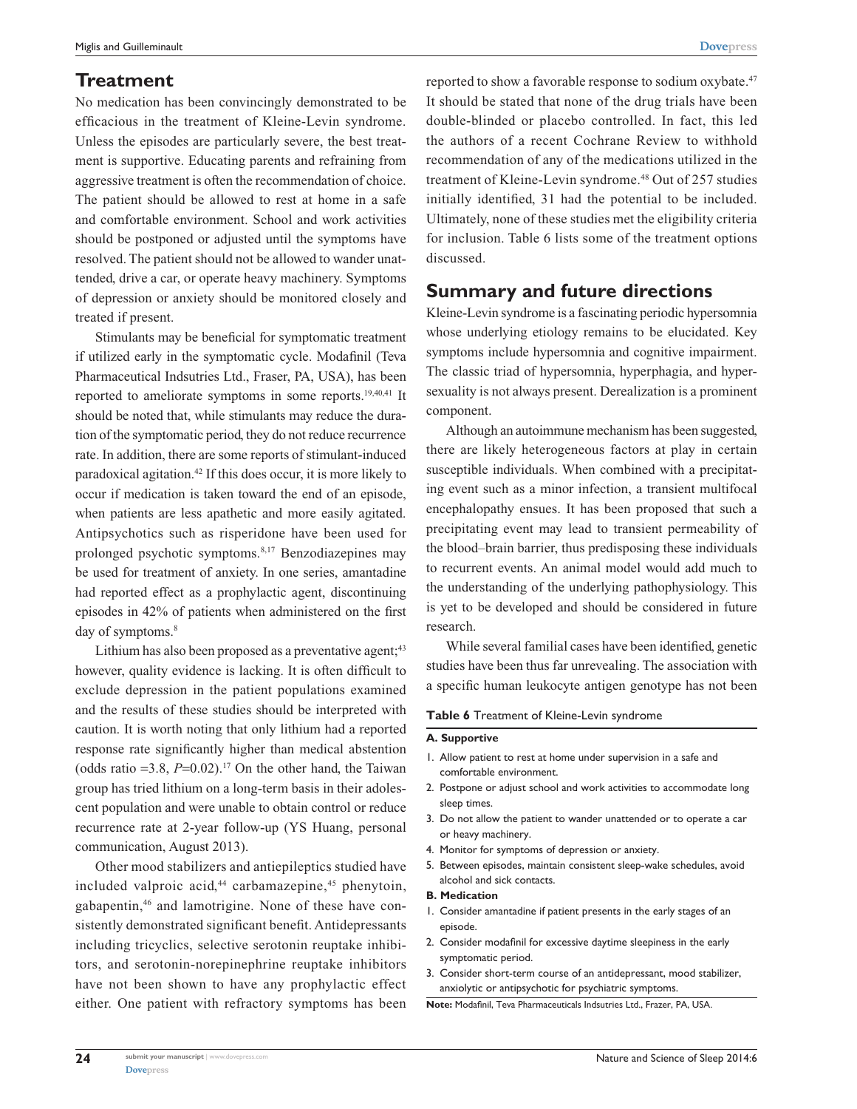### **Treatment**

No medication has been convincingly demonstrated to be efficacious in the treatment of Kleine-Levin syndrome. Unless the episodes are particularly severe, the best treatment is supportive. Educating parents and refraining from aggressive treatment is often the recommendation of choice. The patient should be allowed to rest at home in a safe and comfortable environment. School and work activities should be postponed or adjusted until the symptoms have resolved. The patient should not be allowed to wander unattended, drive a car, or operate heavy machinery. Symptoms of depression or anxiety should be monitored closely and treated if present.

Stimulants may be beneficial for symptomatic treatment if utilized early in the symptomatic cycle. Modafinil (Teva Pharmaceutical Indsutries Ltd., Fraser, PA, USA), has been reported to ameliorate symptoms in some reports.<sup>19,40,41</sup> It should be noted that, while stimulants may reduce the duration of the symptomatic period, they do not reduce recurrence rate. In addition, there are some reports of stimulant-induced paradoxical agitation.42 If this does occur, it is more likely to occur if medication is taken toward the end of an episode, when patients are less apathetic and more easily agitated. Antipsychotics such as risperidone have been used for prolonged psychotic symptoms.8,17 Benzodiazepines may be used for treatment of anxiety. In one series, amantadine had reported effect as a prophylactic agent, discontinuing episodes in 42% of patients when administered on the first day of symptoms.<sup>8</sup>

Lithium has also been proposed as a preventative agent; $43$ however, quality evidence is lacking. It is often difficult to exclude depression in the patient populations examined and the results of these studies should be interpreted with caution. It is worth noting that only lithium had a reported response rate significantly higher than medical abstention (odds ratio  $=3.8$ ,  $P=0.02$ ).<sup>17</sup> On the other hand, the Taiwan group has tried lithium on a long-term basis in their adolescent population and were unable to obtain control or reduce recurrence rate at 2-year follow-up (YS Huang, personal communication, August 2013).

Other mood stabilizers and antiepileptics studied have included valproic acid,<sup>44</sup> carbamazepine,<sup>45</sup> phenytoin, gabapentin,46 and lamotrigine. None of these have consistently demonstrated significant benefit. Antidepressants including tricyclics, selective serotonin reuptake inhibitors, and serotonin-norepinephrine reuptake inhibitors have not been shown to have any prophylactic effect either. One patient with refractory symptoms has been reported to show a favorable response to sodium oxybate.<sup>47</sup> It should be stated that none of the drug trials have been double-blinded or placebo controlled. In fact, this led the authors of a recent Cochrane Review to withhold recommendation of any of the medications utilized in the treatment of Kleine-Levin syndrome.<sup>48</sup> Out of 257 studies initially identified, 31 had the potential to be included. Ultimately, none of these studies met the eligibility criteria for inclusion. Table 6 lists some of the treatment options discussed.

### **Summary and future directions**

Kleine-Levin syndrome is a fascinating periodic hypersomnia whose underlying etiology remains to be elucidated. Key symptoms include hypersomnia and cognitive impairment. The classic triad of hypersomnia, hyperphagia, and hypersexuality is not always present. Derealization is a prominent component.

Although an autoimmune mechanism has been suggested, there are likely heterogeneous factors at play in certain susceptible individuals. When combined with a precipitating event such as a minor infection, a transient multifocal encephalopathy ensues. It has been proposed that such a precipitating event may lead to transient permeability of the blood–brain barrier, thus predisposing these individuals to recurrent events. An animal model would add much to the understanding of the underlying pathophysiology. This is yet to be developed and should be considered in future research.

While several familial cases have been identified, genetic studies have been thus far unrevealing. The association with a specific human leukocyte antigen genotype has not been

#### **Table 6** Treatment of Kleine-Levin syndrome

#### **A. Supportive**

- 1. Allow patient to rest at home under supervision in a safe and comfortable environment.
- 2. Postpone or adjust school and work activities to accommodate long sleep times.
- 3. Do not allow the patient to wander unattended or to operate a car or heavy machinery.
- 4. Monitor for symptoms of depression or anxiety.
- 5. Between episodes, maintain consistent sleep-wake schedules, avoid alcohol and sick contacts.
- **B. Medication**
- 1. Consider amantadine if patient presents in the early stages of an episode.
- 2. Consider modafinil for excessive daytime sleepiness in the early symptomatic period.
- 3. Consider short-term course of an antidepressant, mood stabilizer, anxiolytic or antipsychotic for psychiatric symptoms.

**Note:** Modafinil, Teva Pharmaceuticals Indsutries Ltd., Frazer, PA, USA.

**24**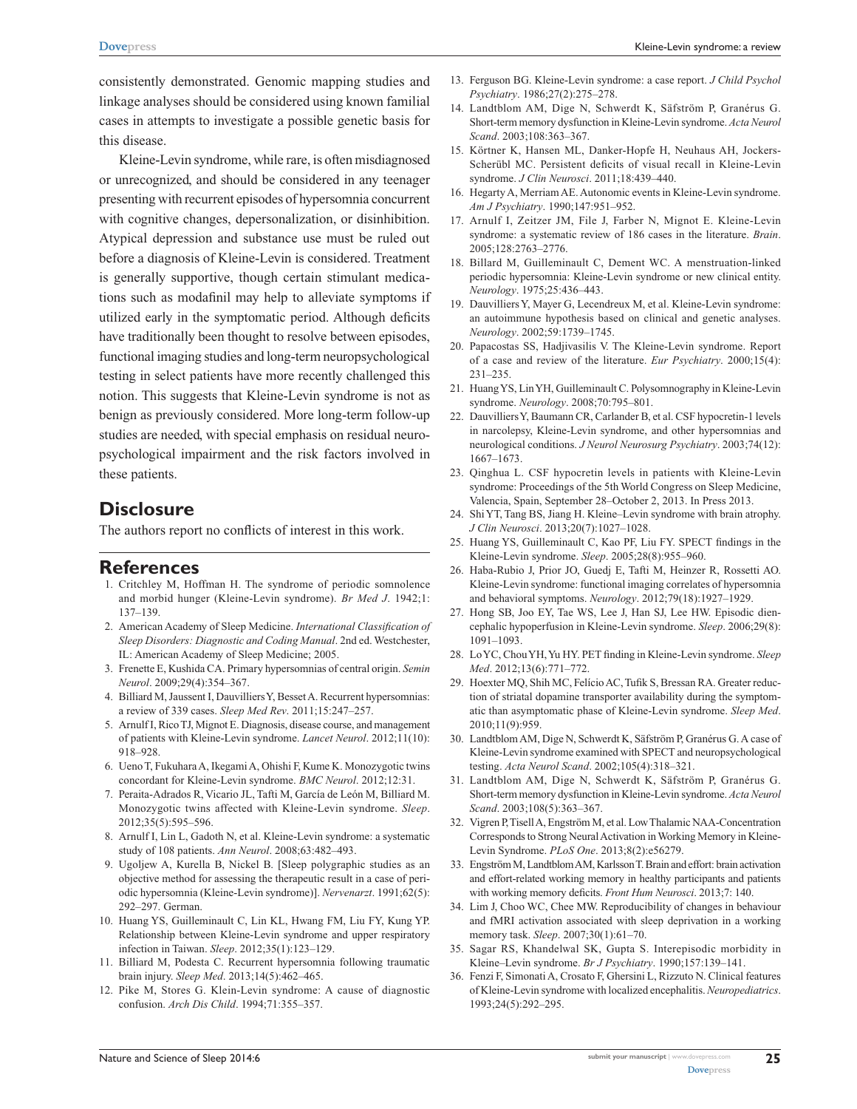consistently demonstrated. Genomic mapping studies and linkage analyses should be considered using known familial cases in attempts to investigate a possible genetic basis for this disease.

Kleine-Levin syndrome, while rare, is often misdiagnosed or unrecognized, and should be considered in any teenager presenting with recurrent episodes of hypersomnia concurrent with cognitive changes, depersonalization, or disinhibition. Atypical depression and substance use must be ruled out before a diagnosis of Kleine-Levin is considered. Treatment is generally supportive, though certain stimulant medications such as modafinil may help to alleviate symptoms if utilized early in the symptomatic period. Although deficits have traditionally been thought to resolve between episodes, functional imaging studies and long-term neuropsychological testing in select patients have more recently challenged this notion. This suggests that Kleine-Levin syndrome is not as benign as previously considered. More long-term follow-up studies are needed, with special emphasis on residual neuropsychological impairment and the risk factors involved in these patients.

### **Disclosure**

The authors report no conflicts of interest in this work.

### **References**

- 1. Critchley M, Hoffman H. The syndrome of periodic somnolence and morbid hunger (Kleine-Levin syndrome). *Br Med J*. 1942;1: 137–139.
- 2. American Academy of Sleep Medicine. *International Classification of Sleep Disorders: Diagnostic and Coding Manual*. 2nd ed. Westchester, IL: American Academy of Sleep Medicine; 2005.
- 3. Frenette E, Kushida CA. Primary hypersomnias of central origin. *Semin Neurol*. 2009;29(4):354–367.
- 4. Billiard M, Jaussent I, Dauvilliers Y, Besset A. Recurrent hypersomnias: a review of 339 cases. *Sleep Med Rev*. 2011;15:247–257.
- 5. Arnulf I, Rico TJ, Mignot E. Diagnosis, disease course, and management of patients with Kleine-Levin syndrome. *Lancet Neurol*. 2012;11(10): 918–928.
- 6. Ueno T, Fukuhara A, Ikegami A, Ohishi F, Kume K. Monozygotic twins concordant for Kleine-Levin syndrome. *BMC Neurol*. 2012;12:31.
- 7. Peraita-Adrados R, Vicario JL, Tafti M, García de León M, Billiard M. Monozygotic twins affected with Kleine-Levin syndrome. *Sleep*. 2012;35(5):595–596.
- 8. Arnulf I, Lin L, Gadoth N, et al. Kleine-Levin syndrome: a systematic study of 108 patients. *Ann Neurol*. 2008;63:482–493.
- 9. Ugoljew A, Kurella B, Nickel B. [Sleep polygraphic studies as an objective method for assessing the therapeutic result in a case of periodic hypersomnia (Kleine-Levin syndrome)]. *Nervenarzt*. 1991;62(5): 292–297. German.
- 10. Huang YS, Guilleminault C, Lin KL, Hwang FM, Liu FY, Kung YP. Relationship between Kleine-Levin syndrome and upper respiratory infection in Taiwan. *Sleep*. 2012;35(1):123–129.
- 11. Billiard M, Podesta C. Recurrent hypersomnia following traumatic brain injury. *Sleep Med*. 2013;14(5):462–465.
- 12. Pike M, Stores G. Klein-Levin syndrome: A cause of diagnostic confusion. *Arch Dis Child*. 1994;71:355–357.
- 13. Ferguson BG. Kleine-Levin syndrome: a case report. *J Child Psychol Psychiatry*. 1986;27(2):275–278.
- 14. Landtblom AM, Dige N, Schwerdt K, Säfström P, Granérus G. Short-term memory dysfunction in Kleine-Levin syndrome. *Acta Neurol Scand*. 2003;108:363–367.
- 15. Körtner K, Hansen ML, Danker-Hopfe H, Neuhaus AH, Jockers-Scherübl MC. Persistent deficits of visual recall in Kleine-Levin syndrome. *J Clin Neurosci*. 2011;18:439–440.
- 16. Hegarty A, Merriam AE. Autonomic events in Kleine-Levin syndrome. *Am J Psychiatry*. 1990;147:951–952.
- 17. Arnulf I, Zeitzer JM, File J, Farber N, Mignot E. Kleine-Levin syndrome: a systematic review of 186 cases in the literature. *Brain*. 2005;128:2763–2776.
- 18. Billard M, Guilleminault C, Dement WC. A menstruation-linked periodic hypersomnia: Kleine-Levin syndrome or new clinical entity. *Neurology*. 1975;25:436–443.
- 19. Dauvilliers Y, Mayer G, Lecendreux M, et al. Kleine-Levin syndrome: an autoimmune hypothesis based on clinical and genetic analyses. *Neurology*. 2002;59:1739–1745.
- 20. Papacostas SS, Hadjivasilis V. The Kleine-Levin syndrome. Report of a case and review of the literature. *Eur Psychiatry*. 2000;15(4): 231–235.
- 21. Huang YS, Lin YH, Guilleminault C. Polysomnography in Kleine-Levin syndrome. *Neurology*. 2008;70:795–801.
- 22. Dauvilliers Y, Baumann CR, Carlander B, et al. CSF hypocretin-1 levels in narcolepsy, Kleine-Levin syndrome, and other hypersomnias and neurological conditions. *J Neurol Neurosurg Psychiatry*. 2003;74(12): 1667–1673.
- 23. Qinghua L. CSF hypocretin levels in patients with Kleine-Levin syndrome: Proceedings of the 5th World Congress on Sleep Medicine, Valencia, Spain, September 28–October 2, 2013. In Press 2013.
- 24. Shi YT, Tang BS, Jiang H. Kleine–Levin syndrome with brain atrophy. *J Clin Neurosci*. 2013;20(7):1027–1028.
- 25. Huang YS, Guilleminault C, Kao PF, Liu FY. SPECT findings in the Kleine-Levin syndrome. *Sleep*. 2005;28(8):955–960.
- 26. Haba-Rubio J, Prior JO, Guedj E, Tafti M, Heinzer R, Rossetti AO. Kleine-Levin syndrome: functional imaging correlates of hypersomnia and behavioral symptoms. *Neurology*. 2012;79(18):1927–1929.
- 27. Hong SB, Joo EY, Tae WS, Lee J, Han SJ, Lee HW. Episodic diencephalic hypoperfusion in Kleine-Levin syndrome. *Sleep*. 2006;29(8): 1091–1093.
- 28. Lo YC, Chou YH, Yu HY. PET finding in Kleine-Levin syndrome. *Sleep Med*. 2012;13(6):771–772.
- 29. Hoexter MQ, Shih MC, Felício AC, Tufik S, Bressan RA. Greater reduction of striatal dopamine transporter availability during the symptomatic than asymptomatic phase of Kleine-Levin syndrome. *Sleep Med*. 2010;11(9):959.
- 30. Landtblom AM, Dige N, Schwerdt K, Säfström P, Granérus G. A case of Kleine-Levin syndrome examined with SPECT and neuropsychological testing. *Acta Neurol Scand*. 2002;105(4):318–321.
- 31. Landtblom AM, Dige N, Schwerdt K, Säfström P, Granérus G. Short-term memory dysfunction in Kleine-Levin syndrome. *Acta Neurol Scand*. 2003;108(5):363–367.
- 32. Vigren P, Tisell A, Engström M, et al. Low Thalamic NAA-Concentration Corresponds to Strong Neural Activation in Working Memory in Kleine-Levin Syndrome. *PLoS One*. 2013;8(2):e56279.
- 33. Engström M, Landtblom AM, Karlsson T. Brain and effort: brain activation and effort-related working memory in healthy participants and patients with working memory deficits. *Front Hum Neurosci*. 2013;7: 140.
- 34. Lim J, Choo WC, Chee MW. Reproducibility of changes in behaviour and fMRI activation associated with sleep deprivation in a working memory task. *Sleep*. 2007;30(1):61–70.
- 35. Sagar RS, Khandelwal SK, Gupta S. Interepisodic morbidity in Kleine–Levin syndrome. *Br J Psychiatry*. 1990;157:139–141.
- 36. Fenzi F, Simonati A, Crosato F, Ghersini L, Rizzuto N. Clinical features of Kleine-Levin syndrome with localized encephalitis. *Neuropediatrics*. 1993;24(5):292–295.